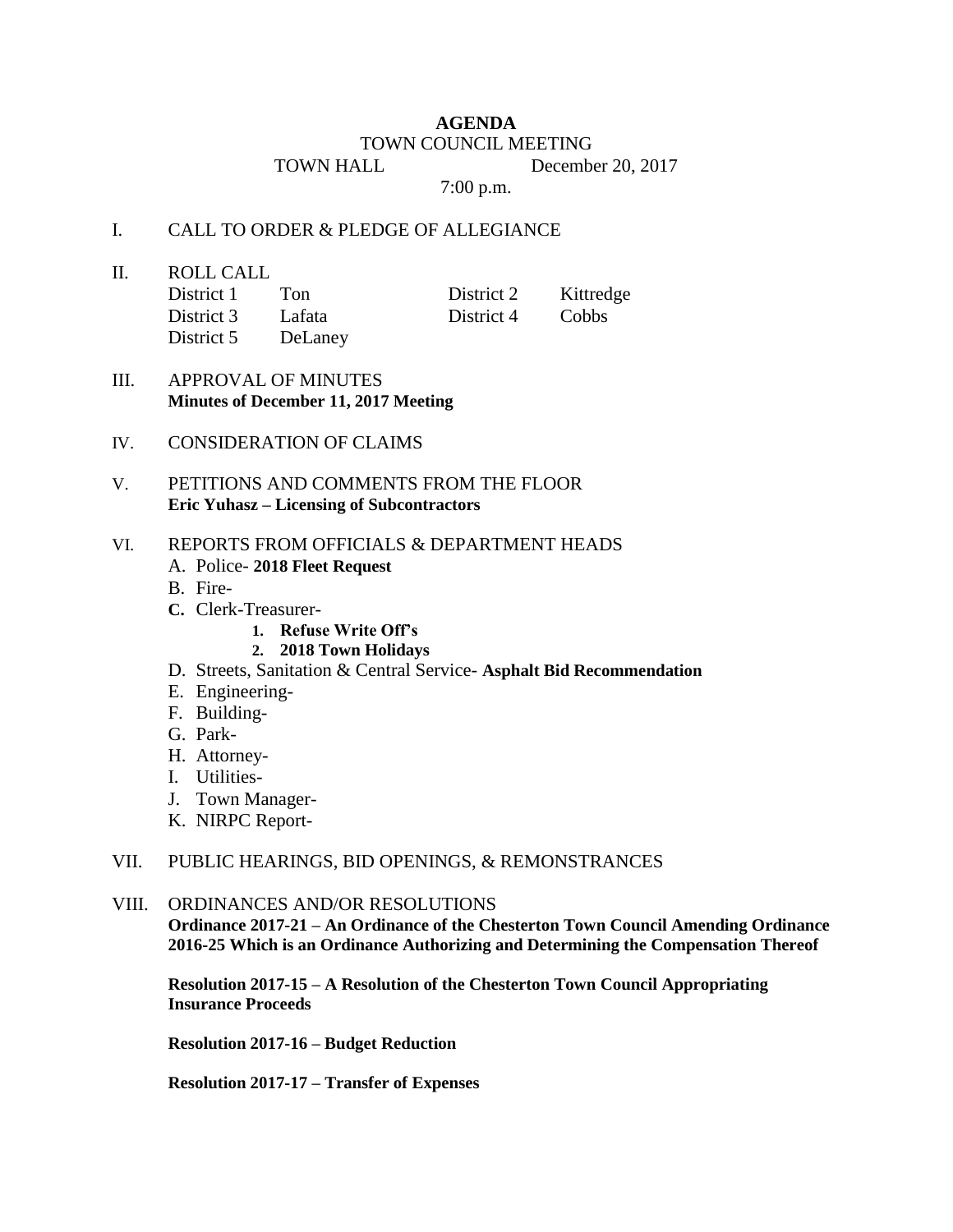## **AGENDA**

#### TOWN COUNCIL MEETING

TOWN HALL December 20, 2017

7:00 p.m.

#### I. CALL TO ORDER & PLEDGE OF ALLEGIANCE

II. ROLL CALL

| District 1 | Ton     | District 2 | Kittredge |
|------------|---------|------------|-----------|
| District 3 | Lafata  | District 4 | Cobbs     |
| District 5 | DeLaney |            |           |

# III. APPROVAL OF MINUTES **Minutes of December 11, 2017 Meeting**

IV. CONSIDERATION OF CLAIMS

## V. PETITIONS AND COMMENTS FROM THE FLOOR **Eric Yuhasz – Licensing of Subcontractors**

#### VI. REPORTS FROM OFFICIALS & DEPARTMENT HEADS

- A. Police- **2018 Fleet Request**
- B. Fire-
- **C.** Clerk-Treasurer-
	- **1. Refuse Write Off's**
	- **2. 2018 Town Holidays**
- D. Streets, Sanitation & Central Service- **Asphalt Bid Recommendation**
- E. Engineering-
- F. Building-
- G. Park-
- H. Attorney-
- I. Utilities-
- J. Town Manager-
- K. NIRPC Report-

### VII. PUBLIC HEARINGS, BID OPENINGS, & REMONSTRANCES

#### VIII. ORDINANCES AND/OR RESOLUTIONS

**Ordinance 2017-21 – An Ordinance of the Chesterton Town Council Amending Ordinance 2016-25 Which is an Ordinance Authorizing and Determining the Compensation Thereof**

**Resolution 2017-15 – A Resolution of the Chesterton Town Council Appropriating Insurance Proceeds**

**Resolution 2017-16 – Budget Reduction** 

**Resolution 2017-17 – Transfer of Expenses**